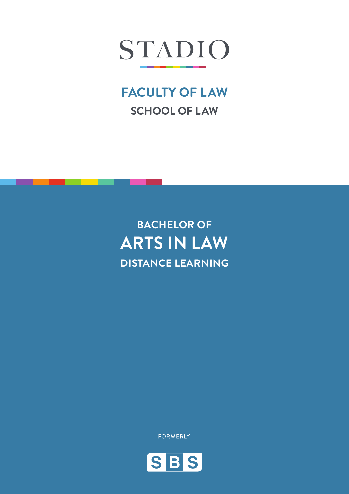

# **FACULTY OF LAW SCHOOL OF LAW**

# **BACHELOR OF ARTS IN LAW DISTANCE LEARNING**

**FORMERLY** 

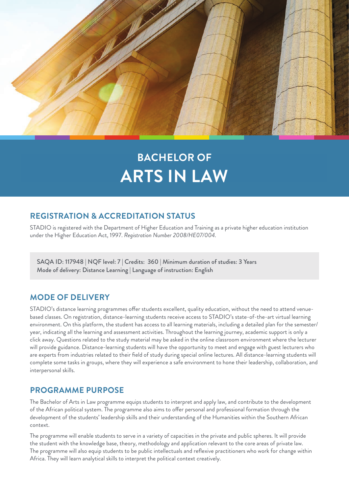

# **BACHELOR OF ARTS IN LAW**

# **REGISTRATION & ACCREDITATION STATUS**

STADIO is registered with the Department of Higher Education and Training as a private higher education institution under the Higher Education Act, 1997. *Registration Number 2008/HE07/004.*

SAQA ID: 117948 | NQF level: 7 | Credits: 360 | Minimum duration of studies: 3 Years Mode of delivery: Distance Learning | Language of instruction: English

# **MODE OF DELIVERY**

STADIO's distance learning programmes offer students excellent, quality education, without the need to attend venuebased classes. On registration, distance-learning students receive access to STADIO's state-of-the-art virtual learning environment. On this platform, the student has access to all learning materials, including a detailed plan for the semester/ year, indicating all the learning and assessment activities. Throughout the learning journey, academic support is only a click away. Questions related to the study material may be asked in the online classroom environment where the lecturer will provide guidance. Distance-learning students will have the opportunity to meet and engage with guest lecturers who are experts from industries related to their field of study during special online lectures. All distance-learning students will complete some tasks in groups, where they will experience a safe environment to hone their leadership, collaboration, and interpersonal skills.

# **PROGRAMME PURPOSE**

The Bachelor of Arts in Law programme equips students to interpret and apply law, and contribute to the development of the African political system. The programme also aims to offer personal and professional formation through the development of the students' leadership skills and their understanding of the Humanities within the Southern African context.

The programme will enable students to serve in a variety of capacities in the private and public spheres. It will provide the student with the knowledge base, theory, methodology and application relevant to the core areas of private law. The programme will also equip students to be public intellectuals and reflexive practitioners who work for change within Africa. They will learn analytical skills to interpret the political context creatively.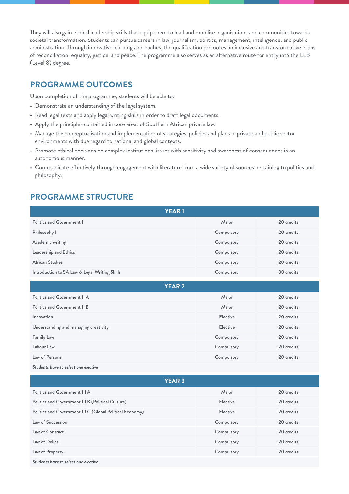They will also gain ethical leadership skills that equip them to lead and mobilise organisations and communities towards societal transformation. Students can pursue careers in law, journalism, politics, management, intelligence, and public administration. Through innovative learning approaches, the qualification promotes an inclusive and transformative ethos of reconciliation, equality, justice, and peace. The programme also serves as an alternative route for entry into the LLB (Level 8) degree.

### **PROGRAMME OUTCOMES**

Upon completion of the programme, students will be able to:

- Demonstrate an understanding of the legal system.
- Read legal texts and apply legal writing skills in order to draft legal documents.
- Apply the principles contained in core areas of Southern African private law.
- Manage the conceptualisation and implementation of strategies, policies and plans in private and public sector environments with due regard to national and global contexts.
- Promote ethical decisions on complex institutional issues with sensitivity and awareness of consequences in an autonomous manner.
- Communicate effectively through engagement with literature from a wide variety of sources pertaining to politics and philosophy.

# **PROGRAMME STRUCTURE**

| <b>YEAR1</b>                                             |            |            |
|----------------------------------------------------------|------------|------------|
| Politics and Government I                                | Major      | 20 credits |
| Philosophy I                                             | Compulsory | 20 credits |
| Academic writing                                         | Compulsory | 20 credits |
| Leadership and Ethics                                    | Compulsory | 20 credits |
| African Studies                                          | Compulsory | 20 credits |
| Introduction to SA Law & Legal Writing Skills            | Compulsory | 30 credits |
| <b>YEAR 2</b>                                            |            |            |
| Politics and Government II A                             | Major      | 20 credits |
| Politics and Government II B                             | Major      | 20 credits |
| Innovation                                               | Elective   | 20 credits |
| Understanding and managing creativity                    | Elective   | 20 credits |
| Family Law                                               | Compulsory | 20 credits |
| Labour Law                                               | Compulsory | 20 credits |
| Law of Persons                                           | Compulsory | 20 credits |
| Students have to select one elective                     |            |            |
| <b>YEAR 3</b>                                            |            |            |
| Politics and Government III A                            | Major      | 20 credits |
| Politics and Government III B (Political Culture)        | Elective   | 20 credits |
| Politics and Government III C (Global Political Economy) | Elective   | 20 credits |
| Law of Succession                                        | Compulsory | 20 credits |
| Law of Contract                                          | Compulsory | 20 credits |
| Law of Delict                                            | Compulsory | 20 credits |
| Law of Property                                          | Compulsory | 20 credits |
| Students have to select one elective                     |            |            |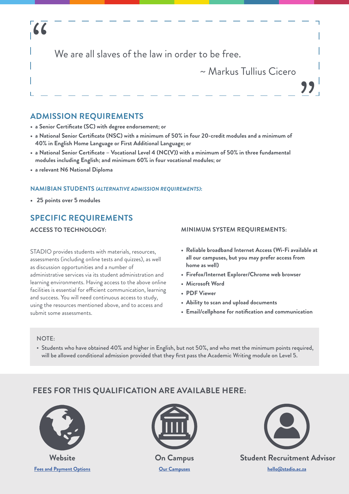# "

We are all slaves of the law in order to be free.

# ~ Markus Tullius Cicero

<u>"</u>

# **ADMISSION REQUIREMENTS**

- **• a Senior Certificate (SC) with degree endorsement; or**
- **• a National Senior Certificate (NSC) with a minimum of 50% in four 20-credit modules and a minimum of 40% in English Home Language or First Additional Language; or**
- **• a National Senior Certificate Vocational Level 4 (NC(V)) with a minimum of 50% in three fundamental modules including English; and minimum 60% in four vocational modules; or**
- **• a relevant N6 National Diploma**

#### **NAMIBIAN STUDENTS** *(ALTERNATIVE ADMISSION REQUIREMENTS)***:**

**• 25 points over 5 modules**

# **SPECIFIC REQUIREMENTS**

#### **ACCESS TO TECHNOLOGY:**

STADIO provides students with materials, resources, assessments (including online tests and quizzes), as well as discussion opportunities and a number of administrative services via its student administration and learning environments. Having access to the above online facilities is essential for efficient communication, learning and success. You will need continuous access to study, using the resources mentioned above, and to access and submit some assessments.

#### **MINIMUM SYSTEM REQUIREMENTS:**

- **• Reliable broadband Internet Access (Wi-Fi available at all our campuses, but you may prefer access from home as well)**
- **• Firefox/Internet Explorer/Chrome web browser**
- **• Microsoft Word**
- **• PDF Viewer**
- **• Ability to scan and upload documents**
- **• Email/cellphone for notification and communication**

#### NOTE:

• Students who have obtained 40% and higher in English, but not 50%, and who met the minimum points required, will be allowed conditional admission provided that they first pass the Academic Writing module on Level 5.

# **FEES FOR THIS QUALIFICATION ARE AVAILABLE HERE:**



**[Fees and Payment Options](https://www.stadio.ac.za/fees-and-payment-options)**



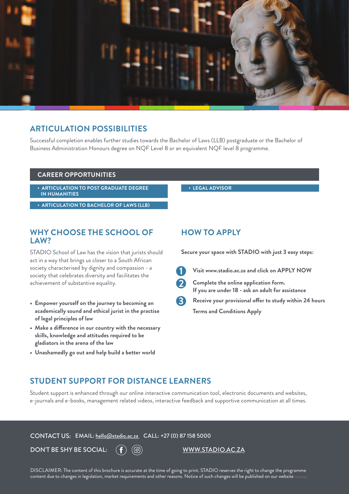

#### **ARTICULATION POSSIBILITIES**

Successful completion enables further studies towards the Bachelor of Laws (LLB) postgraduate or the Bachelor of Business Administration Honours degree on NQF Level 8 or an equivalent NQF level 8 programme.

#### **CAREER OPPORTUNITIES**

**• ARTICULATION TO POST GRADUATE DEGREE IN HUMANITIES**

**• ARTICULATION TO BACHELOR OF LAWS (LLB)**

#### **WHY CHOOSE THE SCHOOL OF LAW?**

STADIO School of Law has the vision that jurists should act in a way that brings us closer to a South African society characterised by dignity and compassion - a society that celebrates diversity and facilitates the achievement of substantive equality.

- **• Empower yourself on the journey to becoming an academically sound and ethical jurist in the practise of legal principles of law**
- **• Make a difference in our country with the necessary skills, knowledge and attitudes required to be gladiators in the arena of the law**
- **• Unashamedly go out and help build a better world**

#### **• LEGAL ADVISOR**

#### **HOW TO APPLY**

**Secure your space with STADIO with just 3 easy steps:**



**Visit www.stadio.ac.za and click on APPLY NOW**

**Complete the online application form. If you are under 18 - ask an adult for assistance Receive your provisional offer to study within 24 hours 3**

**Terms and Conditions Apply**

#### **STUDENT SUPPORT FOR DISTANCE LEARNERS**

Student support is enhanced through our online interactive communication tool, electronic documents and websites, e-journals and e-books, management related videos, interactive feedback and supportive communication at all times.

CONTACT US: EMAIL: [hello@stadio.ac.za](mailto:hello@stadio.ac.za) CALL: +27 (0) 87 158 5000

DON'T BE SHY BE SOCIAL:  $(f)(\textcircled{\circ})$  www.stadio.ac.za

DISCLAIMER: The content of this brochure is accurate at the time of going to print. STADIO reserves the right to change the programme content due to changes in legislation, market requirements and other reasons. Notice of such changes will be published on our website